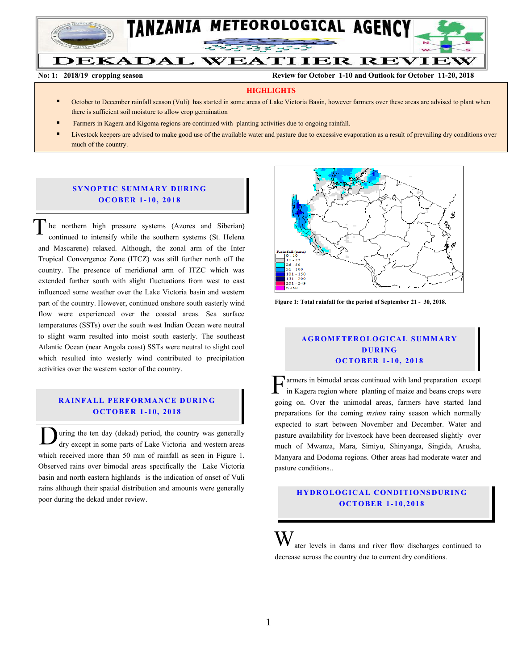

**No: 1: 2018/19 cropping season Review for October 1-10 and Outlook for October 11-20, 2018**

#### **HIGHLIGHTS**

- October to December rainfall season (Vuli) has started in some areas of Lake Victoria Basin, however farmers over these areas are advised to plant when there is sufficient soil moisture to allow crop germination
- Farmers in Kagera and Kigoma regions are continued with planting activities due to ongoing rainfall.
- Livestock keepers are advised to make good use of the available water and pasture due to excessive evaporation as a result of prevailing dry conditions over much of the country.

### **SYNOPTIC SUMMARY DURING O C O BER 1- 10, 201 8**

he northern high pressure systems (Azores and Siberian) continued to intensify while the southern systems (St. Helena and Mascarene) relaxed. Although, the zonal arm of the Inter Tropical Convergence Zone (ITCZ) was still further north off the country. The presence of meridional arm of ITZC which was extended further south with slight fluctuations from west to east influenced some weather over the Lake Victoria basin and western part of the country. However, continued onshore south easterly wind flow were experienced over the coastal areas. Sea surface temperatures (SSTs) over the south west Indian Ocean were neutral to slight warm resulted into moist south easterly. The southeast Atlantic Ocean (near Angola coast) SSTs were neutral to slight cool which resulted into westerly wind contributed to precipitation activities over the western sector of the country.  $\overline{\overline{T}}$ 

### **RAINFALL PERFORMANCE DURING O C TO BER 1- 10, 2018**

uring the ten day (dekad) period, the country was generally dry except in some parts of Lake Victoria and western areas which received more than 50 mm of rainfall as seen in Figure 1. Observed rains over bimodal areas specifically the Lake Victoria basin and north eastern highlands is the indication of onset of Vuli rains although their spatial distribution and amounts were generally poor during the dekad under review. D



**Figure 1: Total rainfall for the period of September 21 - 30, 2018.**

# **A GROMETEROLOGICAL SUMMARY D UR ING O C TO BER 1 - 10, 2018**

armers in bimodal areas continued with land preparation except in Kagera region where planting of maize and beans crops were Farmers in bimodal areas continued with land preparation except in Kagera region where planting of maize and beans crops were going on. Over the unimodal areas, farmers have started land preparations for the coming *msimu* rainy season which normally expected to start between November and December. Water and pasture availability for livestock have been decreased slightly over much of Mwanza, Mara, Simiyu, Shinyanga, Singida, Arusha, Manyara and Dodoma regions. Other areas had moderate water and pasture conditions..

## **H Y DR O LOG IC A L C ON DITIO N SDU R IN G O C TO BER 1- 10, 2018**

ater levels in dams and river flow discharges continued to decrease across the country due to current dry conditions. W